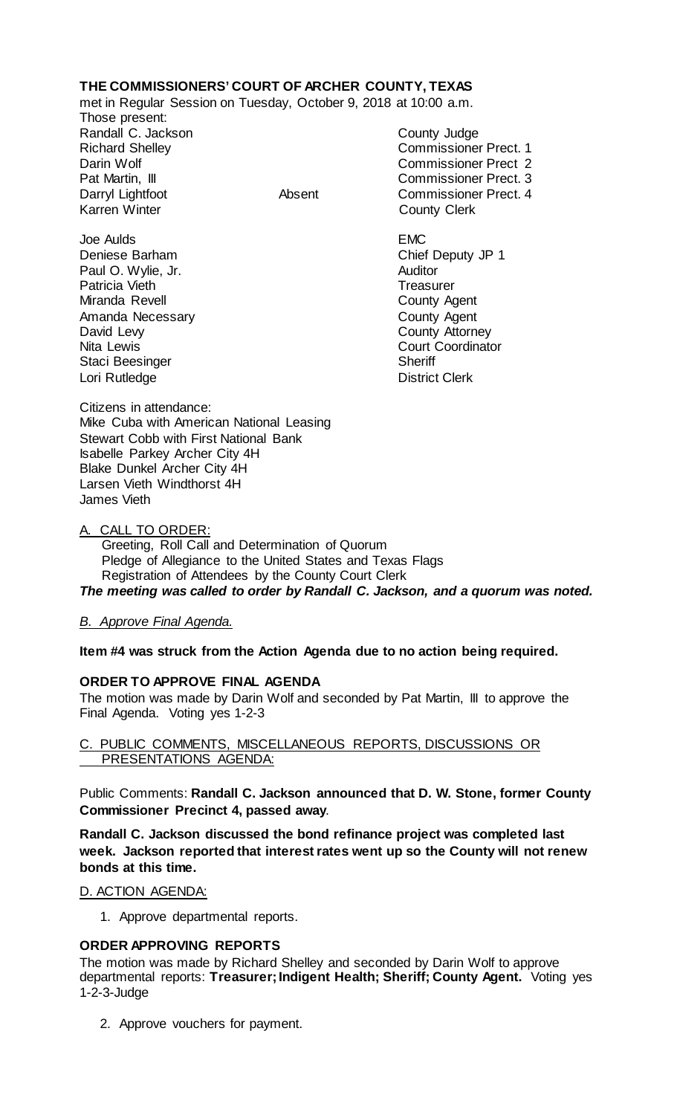# **THE COMMISSIONERS' COURT OF ARCHER COUNTY, TEXAS**

met in Regular Session on Tuesday, October 9, 2018 at 10:00 a.m.

Those present: Randall C. Jackson County Judge

Staci Beesinger

Richard Shelley **Commissioner Prect.** 1 Darin Wolf Commissioner Prect 2 Pat Martin, III Commissioner Prect. 3 Darryl Lightfoot **Absent** Commissioner Prect. 4<br>
Karren Winter **County Clerk County Clerk** 

Joe Aulds EMC Deniese Barham Chief Deputy JP 1 Paul O. Wylie, Jr. **Auditor** Patricia Vieth **Treasurer** Treasurer Miranda Revell **County Agent** Amanda Necessary **County Agent** County Agent<br>
David Levy **County Attorney** County Attorney Nita Lewis **Nita Lewis** Court Coordinator<br>
Staci Beesinger **Nita Court Coordinator** Lori Rutledge **District Clerk** 

Citizens in attendance: Mike Cuba with American National Leasing Stewart Cobb with First National Bank Isabelle Parkey Archer City 4H Blake Dunkel Archer City 4H Larsen Vieth Windthorst 4H James Vieth

## A. CALL TO ORDER:

 Greeting, Roll Call and Determination of Quorum Pledge of Allegiance to the United States and Texas Flags Registration of Attendees by the County Court Clerk *The meeting was called to order by Randall C. Jackson, and a quorum was noted.*

## *B. Approve Final Agenda.*

**Item #4 was struck from the Action Agenda due to no action being required.**

## **ORDER TO APPROVE FINAL AGENDA**

The motion was made by Darin Wolf and seconded by Pat Martin, III to approve the Final Agenda. Voting yes 1-2-3

### C. PUBLIC COMMENTS, MISCELLANEOUS REPORTS, DISCUSSIONS OR PRESENTATIONS AGENDA:

Public Comments: **Randall C. Jackson announced that D. W. Stone, former County Commissioner Precinct 4, passed away**.

**Randall C. Jackson discussed the bond refinance project was completed last week. Jackson reported that interest rates went up so the County will not renew bonds at this time.**

#### D. ACTION AGENDA:

1. Approve departmental reports.

## **ORDER APPROVING REPORTS**

The motion was made by Richard Shelley and seconded by Darin Wolf to approve departmental reports: **Treasurer; Indigent Health; Sheriff; County Agent.** Voting yes 1-2-3-Judge

2. Approve vouchers for payment.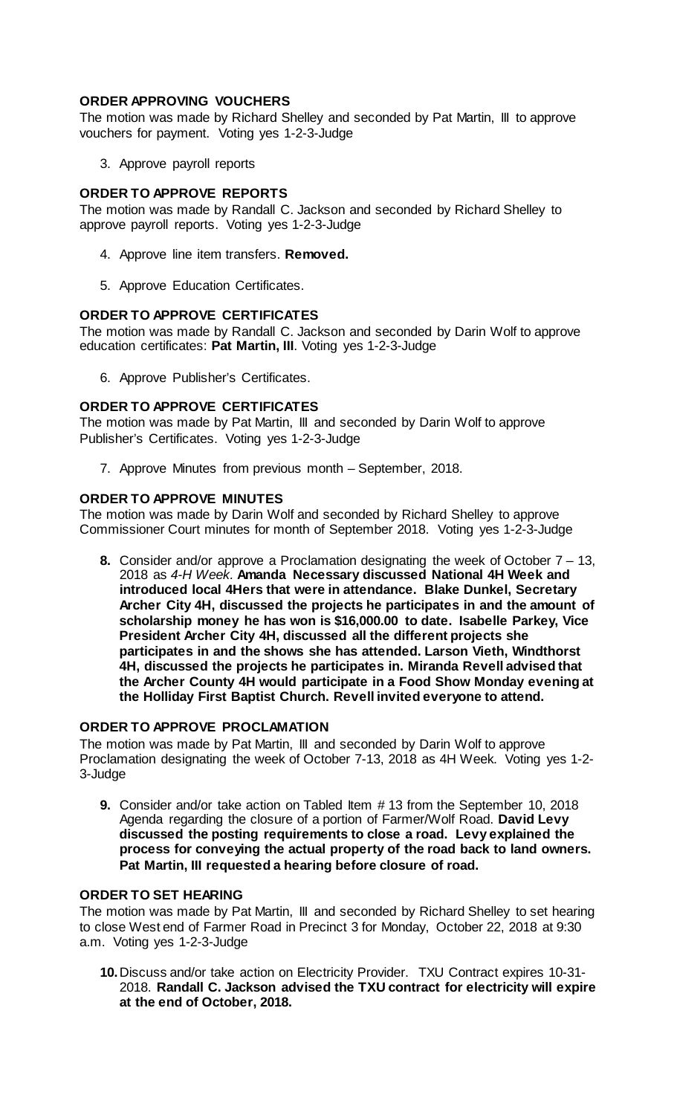### **ORDER APPROVING VOUCHERS**

The motion was made by Richard Shelley and seconded by Pat Martin, III to approve vouchers for payment. Voting yes 1-2-3-Judge

3. Approve payroll reports

## **ORDER TO APPROVE REPORTS**

The motion was made by Randall C. Jackson and seconded by Richard Shelley to approve payroll reports. Voting yes 1-2-3-Judge

- 4. Approve line item transfers. **Removed.**
- 5. Approve Education Certificates.

#### **ORDER TO APPROVE CERTIFICATES**

The motion was made by Randall C. Jackson and seconded by Darin Wolf to approve education certificates: **Pat Martin, III**. Voting yes 1-2-3-Judge

6. Approve Publisher's Certificates.

#### **ORDER TO APPROVE CERTIFICATES**

The motion was made by Pat Martin, III and seconded by Darin Wolf to approve Publisher's Certificates. Voting yes 1-2-3-Judge

7. Approve Minutes from previous month – September, 2018.

#### **ORDER TO APPROVE MINUTES**

The motion was made by Darin Wolf and seconded by Richard Shelley to approve Commissioner Court minutes for month of September 2018. Voting yes 1-2-3-Judge

**8.** Consider and/or approve a Proclamation designating the week of October 7 – 13, 2018 as *4-H Week.* **Amanda Necessary discussed National 4H Week and introduced local 4Hers that were in attendance. Blake Dunkel, Secretary Archer City 4H, discussed the projects he participates in and the amount of scholarship money he has won is \$16,000.00 to date. Isabelle Parkey, Vice President Archer City 4H, discussed all the different projects she participates in and the shows she has attended. Larson Vieth, Windthorst 4H, discussed the projects he participates in. Miranda Revell advised that the Archer County 4H would participate in a Food Show Monday evening at the Holliday First Baptist Church. Revell invited everyone to attend.**

#### **ORDER TO APPROVE PROCLAMATION**

The motion was made by Pat Martin, III and seconded by Darin Wolf to approve Proclamation designating the week of October 7-13, 2018 as 4H Week. Voting yes 1-2- 3-Judge

**9.** Consider and/or take action on Tabled Item # 13 from the September 10, 2018 Agenda regarding the closure of a portion of Farmer/Wolf Road. **David Levy discussed the posting requirements to close a road. Levy explained the process for conveying the actual property of the road back to land owners. Pat Martin, III requested a hearing before closure of road.**

#### **ORDER TO SET HEARING**

The motion was made by Pat Martin, III and seconded by Richard Shelley to set hearing to close West end of Farmer Road in Precinct 3 for Monday, October 22, 2018 at 9:30 a.m. Voting yes 1-2-3-Judge

**10.**Discuss and/or take action on Electricity Provider. TXU Contract expires 10-31- 2018. **Randall C. Jackson advised the TXU contract for electricity will expire at the end of October, 2018.**